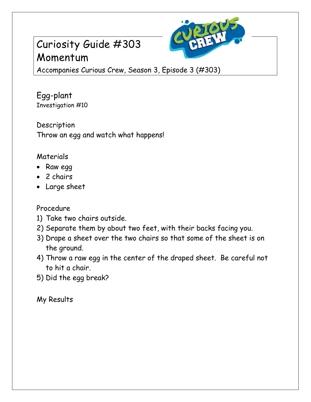## Curiosity Guide #303 Momentum



Accompanies Curious Crew, Season 3, Episode 3 (#303)

Egg-plant Investigation #10

Description Throw an egg and watch what happens!

## Materials

- Raw egg
- 2 chairs
- Large sheet

## Procedure

- 1) Take two chairs outside.
- 2) Separate them by about two feet, with their backs facing you.
- 3) Drape a sheet over the two chairs so that some of the sheet is on the ground.
- 4) Throw a raw egg in the center of the draped sheet. Be careful not to hit a chair.
- 5) Did the egg break?

My Results